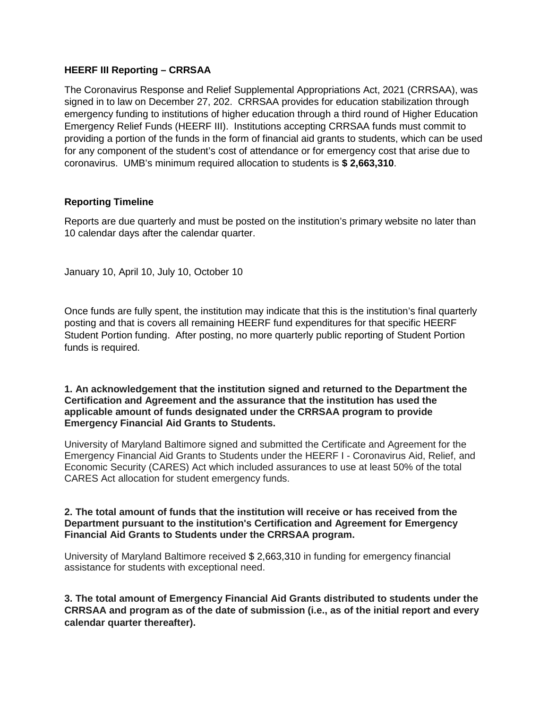## **HEERF III Reporting – CRRSAA**

The Coronavirus Response and Relief Supplemental Appropriations Act, 2021 (CRRSAA), was signed in to law on December 27, 202. CRRSAA provides for education stabilization through emergency funding to institutions of higher education through a third round of Higher Education Emergency Relief Funds (HEERF III). Institutions accepting CRRSAA funds must commit to providing a portion of the funds in the form of financial aid grants to students, which can be used for any component of the student's cost of attendance or for emergency cost that arise due to coronavirus. UMB's minimum required allocation to students is **\$ 2,663,310**.

## **Reporting Timeline**

Reports are due quarterly and must be posted on the institution's primary website no later than 10 calendar days after the calendar quarter.

January 10, April 10, July 10, October 10

Once funds are fully spent, the institution may indicate that this is the institution's final quarterly posting and that is covers all remaining HEERF fund expenditures for that specific HEERF Student Portion funding. After posting, no more quarterly public reporting of Student Portion funds is required.

#### **1. An acknowledgement that the institution signed and returned to the Department the Certification and Agreement and the assurance that the institution has used the applicable amount of funds designated under the CRRSAA program to provide Emergency Financial Aid Grants to Students.**

University of Maryland Baltimore signed and submitted the Certificate and Agreement for the Emergency Financial Aid Grants to Students under the HEERF I - Coronavirus Aid, Relief, and Economic Security (CARES) Act which included assurances to use at least 50% of the total CARES Act allocation for student emergency funds.

#### **2. The total amount of funds that the institution will receive or has received from the Department pursuant to the institution's Certification and Agreement for Emergency Financial Aid Grants to Students under the CRRSAA program.**

University of Maryland Baltimore received \$ 2,663,310 in funding for emergency financial assistance for students with exceptional need.

**3. The total amount of Emergency Financial Aid Grants distributed to students under the CRRSAA and program as of the date of submission (i.e., as of the initial report and every calendar quarter thereafter).**